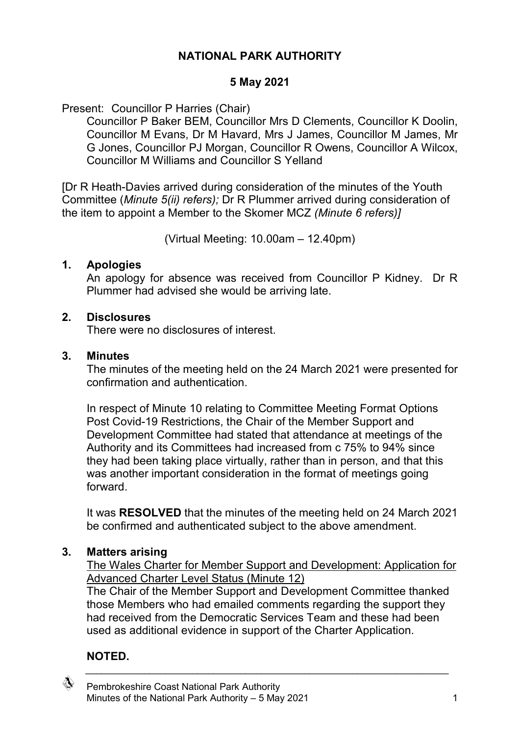# **NATIONAL PARK AUTHORITY**

#### **5 May 2021**

Present: Councillor P Harries (Chair)

Councillor P Baker BEM, Councillor Mrs D Clements, Councillor K Doolin, Councillor M Evans, Dr M Havard, Mrs J James, Councillor M James, Mr G Jones, Councillor PJ Morgan, Councillor R Owens, Councillor A Wilcox, Councillor M Williams and Councillor S Yelland

[Dr R Heath-Davies arrived during consideration of the minutes of the Youth Committee (*Minute 5(ii) refers);* Dr R Plummer arrived during consideration of the item to appoint a Member to the Skomer MCZ *(Minute 6 refers)]*

(Virtual Meeting: 10.00am – 12.40pm)

#### **1. Apologies**

An apology for absence was received from Councillor P Kidney. Dr R Plummer had advised she would be arriving late.

#### **2. Disclosures**

There were no disclosures of interest.

#### **3. Minutes**

The minutes of the meeting held on the 24 March 2021 were presented for confirmation and authentication.

In respect of Minute 10 relating to Committee Meeting Format Options Post Covid-19 Restrictions, the Chair of the Member Support and Development Committee had stated that attendance at meetings of the Authority and its Committees had increased from c 75% to 94% since they had been taking place virtually, rather than in person, and that this was another important consideration in the format of meetings going forward.

It was **RESOLVED** that the minutes of the meeting held on 24 March 2021 be confirmed and authenticated subject to the above amendment.

#### **3. Matters arising**

The Wales Charter for Member Support and Development: Application for Advanced Charter Level Status (Minute 12)

The Chair of the Member Support and Development Committee thanked those Members who had emailed comments regarding the support they had received from the Democratic Services Team and these had been used as additional evidence in support of the Charter Application.

 $\_$  , and the set of the set of the set of the set of the set of the set of the set of the set of the set of the set of the set of the set of the set of the set of the set of the set of the set of the set of the set of th

# **NOTED.**

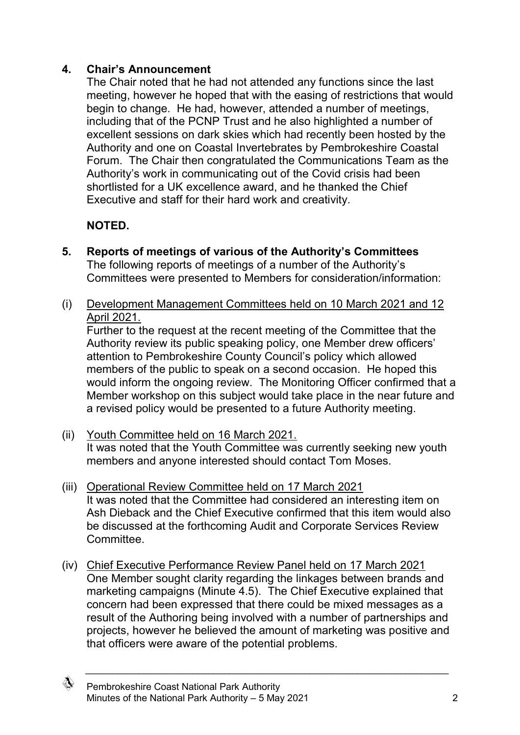# **4. Chair's Announcement**

The Chair noted that he had not attended any functions since the last meeting, however he hoped that with the easing of restrictions that would begin to change. He had, however, attended a number of meetings, including that of the PCNP Trust and he also highlighted a number of excellent sessions on dark skies which had recently been hosted by the Authority and one on Coastal Invertebrates by Pembrokeshire Coastal Forum. The Chair then congratulated the Communications Team as the Authority's work in communicating out of the Covid crisis had been shortlisted for a UK excellence award, and he thanked the Chief Executive and staff for their hard work and creativity.

#### **NOTED.**

- **5. Reports of meetings of various of the Authority's Committees** The following reports of meetings of a number of the Authority's Committees were presented to Members for consideration/information:
- (i) Development Management Committees held on 10 March 2021 and 12 April 2021.

Further to the request at the recent meeting of the Committee that the Authority review its public speaking policy, one Member drew officers' attention to Pembrokeshire County Council's policy which allowed members of the public to speak on a second occasion. He hoped this would inform the ongoing review. The Monitoring Officer confirmed that a Member workshop on this subject would take place in the near future and a revised policy would be presented to a future Authority meeting.

- (ii) Youth Committee held on 16 March 2021. It was noted that the Youth Committee was currently seeking new youth members and anyone interested should contact Tom Moses.
- (iii) Operational Review Committee held on 17 March 2021 It was noted that the Committee had considered an interesting item on Ash Dieback and the Chief Executive confirmed that this item would also be discussed at the forthcoming Audit and Corporate Services Review Committee.
- (iv) Chief Executive Performance Review Panel held on 17 March 2021 One Member sought clarity regarding the linkages between brands and marketing campaigns (Minute 4.5). The Chief Executive explained that concern had been expressed that there could be mixed messages as a result of the Authoring being involved with a number of partnerships and projects, however he believed the amount of marketing was positive and that officers were aware of the potential problems.

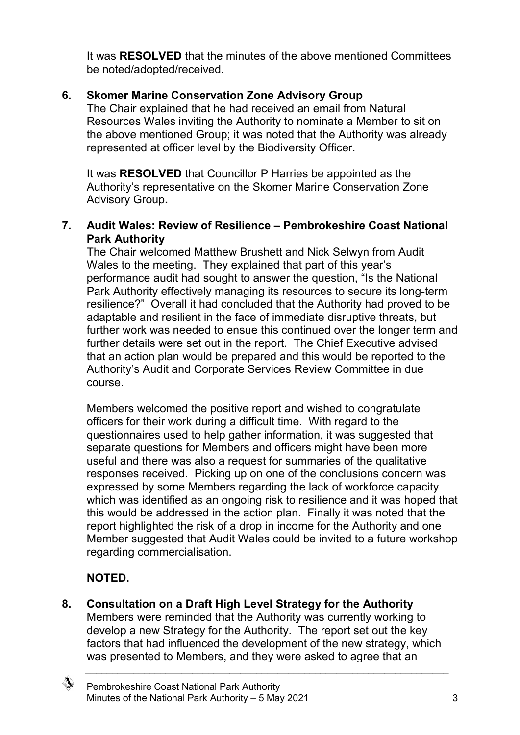It was **RESOLVED** that the minutes of the above mentioned Committees be noted/adopted/received.

# **6. Skomer Marine Conservation Zone Advisory Group**

The Chair explained that he had received an email from Natural Resources Wales inviting the Authority to nominate a Member to sit on the above mentioned Group; it was noted that the Authority was already represented at officer level by the Biodiversity Officer.

It was **RESOLVED** that Councillor P Harries be appointed as the Authority's representative on the Skomer Marine Conservation Zone Advisory Group**.**

#### **7. Audit Wales: Review of Resilience – Pembrokeshire Coast National Park Authority**

The Chair welcomed Matthew Brushett and Nick Selwyn from Audit Wales to the meeting. They explained that part of this year's performance audit had sought to answer the question, "Is the National Park Authority effectively managing its resources to secure its long-term resilience?" Overall it had concluded that the Authority had proved to be adaptable and resilient in the face of immediate disruptive threats, but further work was needed to ensue this continued over the longer term and further details were set out in the report. The Chief Executive advised that an action plan would be prepared and this would be reported to the Authority's Audit and Corporate Services Review Committee in due course.

Members welcomed the positive report and wished to congratulate officers for their work during a difficult time. With regard to the questionnaires used to help gather information, it was suggested that separate questions for Members and officers might have been more useful and there was also a request for summaries of the qualitative responses received. Picking up on one of the conclusions concern was expressed by some Members regarding the lack of workforce capacity which was identified as an ongoing risk to resilience and it was hoped that this would be addressed in the action plan. Finally it was noted that the report highlighted the risk of a drop in income for the Authority and one Member suggested that Audit Wales could be invited to a future workshop regarding commercialisation.

# **NOTED.**

**8. Consultation on a Draft High Level Strategy for the Authority**

Members were reminded that the Authority was currently working to develop a new Strategy for the Authority. The report set out the key factors that had influenced the development of the new strategy, which was presented to Members, and they were asked to agree that an

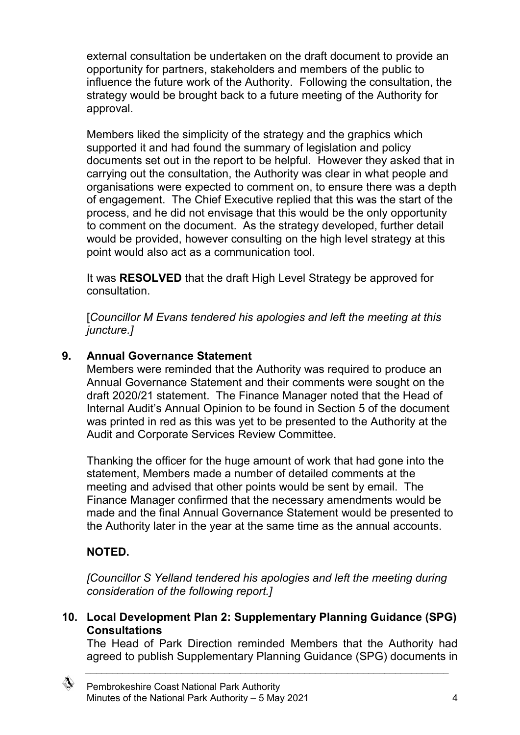external consultation be undertaken on the draft document to provide an opportunity for partners, stakeholders and members of the public to influence the future work of the Authority. Following the consultation, the strategy would be brought back to a future meeting of the Authority for approval.

Members liked the simplicity of the strategy and the graphics which supported it and had found the summary of legislation and policy documents set out in the report to be helpful. However they asked that in carrying out the consultation, the Authority was clear in what people and organisations were expected to comment on, to ensure there was a depth of engagement. The Chief Executive replied that this was the start of the process, and he did not envisage that this would be the only opportunity to comment on the document. As the strategy developed, further detail would be provided, however consulting on the high level strategy at this point would also act as a communication tool.

It was **RESOLVED** that the draft High Level Strategy be approved for consultation.

[*Councillor M Evans tendered his apologies and left the meeting at this juncture.]*

# **9. Annual Governance Statement**

Members were reminded that the Authority was required to produce an Annual Governance Statement and their comments were sought on the draft 2020/21 statement. The Finance Manager noted that the Head of Internal Audit's Annual Opinion to be found in Section 5 of the document was printed in red as this was yet to be presented to the Authority at the Audit and Corporate Services Review Committee.

Thanking the officer for the huge amount of work that had gone into the statement, Members made a number of detailed comments at the meeting and advised that other points would be sent by email. The Finance Manager confirmed that the necessary amendments would be made and the final Annual Governance Statement would be presented to the Authority later in the year at the same time as the annual accounts.

# **NOTED.**

*[Councillor S Yelland tendered his apologies and left the meeting during consideration of the following report.]*

**10. Local Development Plan 2: Supplementary Planning Guidance (SPG) Consultations**

The Head of Park Direction reminded Members that the Authority had agreed to publish Supplementary Planning Guidance (SPG) documents in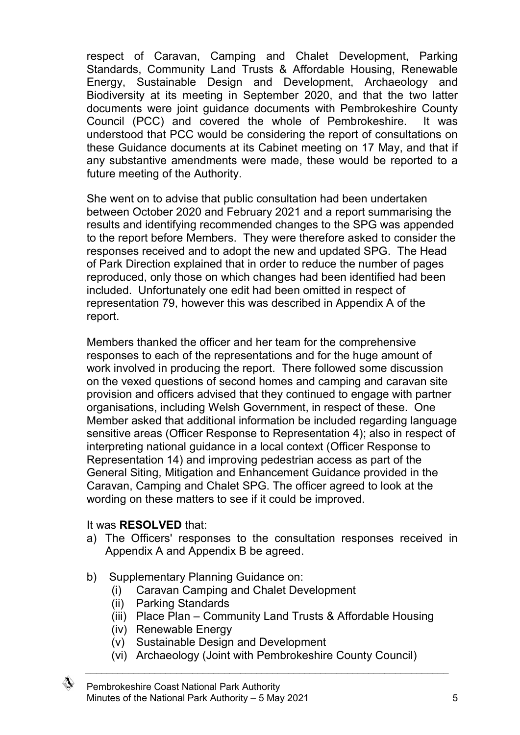respect of Caravan, Camping and Chalet Development, Parking Standards, Community Land Trusts & Affordable Housing, Renewable Energy, Sustainable Design and Development, Archaeology and Biodiversity at its meeting in September 2020, and that the two latter documents were joint guidance documents with Pembrokeshire County Council (PCC) and covered the whole of Pembrokeshire. It was understood that PCC would be considering the report of consultations on these Guidance documents at its Cabinet meeting on 17 May, and that if any substantive amendments were made, these would be reported to a future meeting of the Authority.

She went on to advise that public consultation had been undertaken between October 2020 and February 2021 and a report summarising the results and identifying recommended changes to the SPG was appended to the report before Members. They were therefore asked to consider the responses received and to adopt the new and updated SPG. The Head of Park Direction explained that in order to reduce the number of pages reproduced, only those on which changes had been identified had been included. Unfortunately one edit had been omitted in respect of representation 79, however this was described in Appendix A of the report.

Members thanked the officer and her team for the comprehensive responses to each of the representations and for the huge amount of work involved in producing the report. There followed some discussion on the vexed questions of second homes and camping and caravan site provision and officers advised that they continued to engage with partner organisations, including Welsh Government, in respect of these. One Member asked that additional information be included regarding language sensitive areas (Officer Response to Representation 4); also in respect of interpreting national guidance in a local context (Officer Response to Representation 14) and improving pedestrian access as part of the General Siting, Mitigation and Enhancement Guidance provided in the Caravan, Camping and Chalet SPG. The officer agreed to look at the wording on these matters to see if it could be improved.

#### It was **RESOLVED** that:

- a) The Officers' responses to the consultation responses received in Appendix A and Appendix B be agreed.
- b) Supplementary Planning Guidance on:
	- (i) Caravan Camping and Chalet Development
	- (ii) Parking Standards
	- (iii) Place Plan Community Land Trusts & Affordable Housing
	- (iv) Renewable Energy
	- (v) Sustainable Design and Development
- $\_$  , and the set of the set of the set of the set of the set of the set of the set of the set of the set of the set of the set of the set of the set of the set of the set of the set of the set of the set of the set of th (vi) Archaeology (Joint with Pembrokeshire County Council)

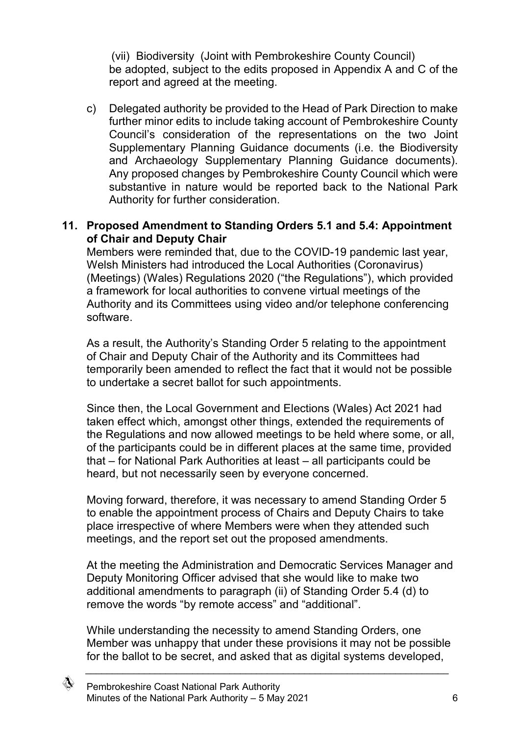(vii) Biodiversity (Joint with Pembrokeshire County Council) be adopted, subject to the edits proposed in Appendix A and C of the report and agreed at the meeting.

c) Delegated authority be provided to the Head of Park Direction to make further minor edits to include taking account of Pembrokeshire County Council's consideration of the representations on the two Joint Supplementary Planning Guidance documents (i.e. the Biodiversity and Archaeology Supplementary Planning Guidance documents). Any proposed changes by Pembrokeshire County Council which were substantive in nature would be reported back to the National Park Authority for further consideration.

#### **11. Proposed Amendment to Standing Orders 5.1 and 5.4: Appointment of Chair and Deputy Chair**

Members were reminded that, due to the COVID-19 pandemic last year, Welsh Ministers had introduced the Local Authorities (Coronavirus) (Meetings) (Wales) Regulations 2020 ("the Regulations"), which provided a framework for local authorities to convene virtual meetings of the Authority and its Committees using video and/or telephone conferencing software.

As a result, the Authority's Standing Order 5 relating to the appointment of Chair and Deputy Chair of the Authority and its Committees had temporarily been amended to reflect the fact that it would not be possible to undertake a secret ballot for such appointments.

Since then, the Local Government and Elections (Wales) Act 2021 had taken effect which, amongst other things, extended the requirements of the Regulations and now allowed meetings to be held where some, or all, of the participants could be in different places at the same time, provided that – for National Park Authorities at least – all participants could be heard, but not necessarily seen by everyone concerned.

Moving forward, therefore, it was necessary to amend Standing Order 5 to enable the appointment process of Chairs and Deputy Chairs to take place irrespective of where Members were when they attended such meetings, and the report set out the proposed amendments.

At the meeting the Administration and Democratic Services Manager and Deputy Monitoring Officer advised that she would like to make two additional amendments to paragraph (ii) of Standing Order 5.4 (d) to remove the words "by remote access" and "additional".

While understanding the necessity to amend Standing Orders, one Member was unhappy that under these provisions it may not be possible for the ballot to be secret, and asked that as digital systems developed,

◈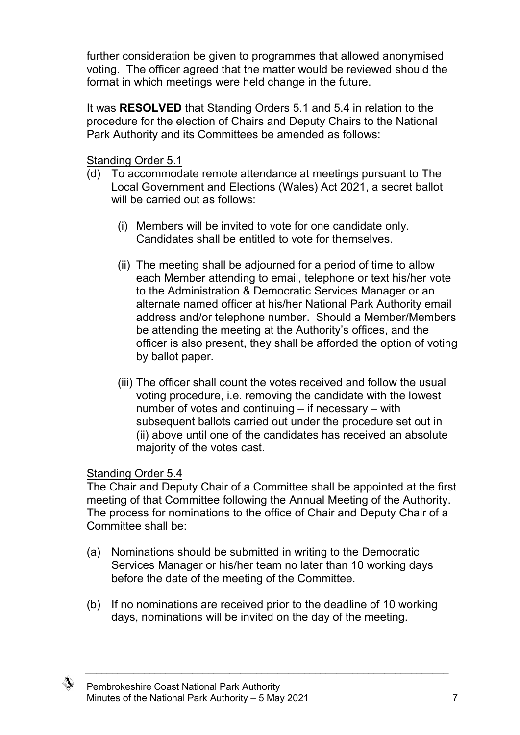further consideration be given to programmes that allowed anonymised voting. The officer agreed that the matter would be reviewed should the format in which meetings were held change in the future.

It was **RESOLVED** that Standing Orders 5.1 and 5.4 in relation to the procedure for the election of Chairs and Deputy Chairs to the National Park Authority and its Committees be amended as follows:

Standing Order 5.1

- (d) To accommodate remote attendance at meetings pursuant to The Local Government and Elections (Wales) Act 2021, a secret ballot will be carried out as follows:
	- (i) Members will be invited to vote for one candidate only. Candidates shall be entitled to vote for themselves.
	- (ii) The meeting shall be adjourned for a period of time to allow each Member attending to email, telephone or text his/her vote to the Administration & Democratic Services Manager or an alternate named officer at his/her National Park Authority email address and/or telephone number. Should a Member/Members be attending the meeting at the Authority's offices, and the officer is also present, they shall be afforded the option of voting by ballot paper.
	- (iii) The officer shall count the votes received and follow the usual voting procedure, i.e. removing the candidate with the lowest number of votes and continuing – if necessary – with subsequent ballots carried out under the procedure set out in (ii) above until one of the candidates has received an absolute majority of the votes cast.

# Standing Order 5.4

The Chair and Deputy Chair of a Committee shall be appointed at the first meeting of that Committee following the Annual Meeting of the Authority. The process for nominations to the office of Chair and Deputy Chair of a Committee shall be:

- (a) Nominations should be submitted in writing to the Democratic Services Manager or his/her team no later than 10 working days before the date of the meeting of the Committee.
- (b) If no nominations are received prior to the deadline of 10 working days, nominations will be invited on the day of the meeting.